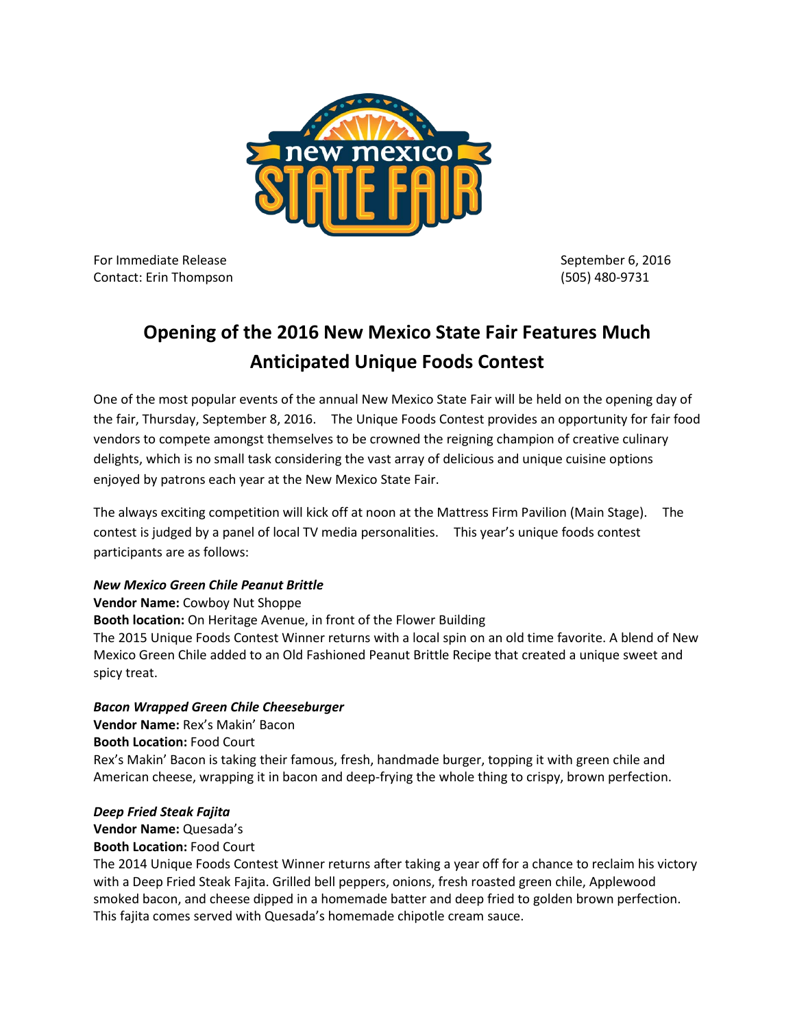

For Immediate Release September 6, 2016 Contact: Erin Thompson (505) 480-9731

# **Opening of the 2016 New Mexico State Fair Features Much Anticipated Unique Foods Contest**

One of the most popular events of the annual New Mexico State Fair will be held on the opening day of the fair, Thursday, September 8, 2016. The Unique Foods Contest provides an opportunity for fair food vendors to compete amongst themselves to be crowned the reigning champion of creative culinary delights, which is no small task considering the vast array of delicious and unique cuisine options enjoyed by patrons each year at the New Mexico State Fair.

The always exciting competition will kick off at noon at the Mattress Firm Pavilion (Main Stage). The contest is judged by a panel of local TV media personalities. This year's unique foods contest participants are as follows:

# *New Mexico Green Chile Peanut Brittle*

**Vendor Name:** Cowboy Nut Shoppe **Booth location:** On Heritage Avenue, in front of the Flower Building The 2015 Unique Foods Contest Winner returns with a local spin on an old time favorite. A blend of New Mexico Green Chile added to an Old Fashioned Peanut Brittle Recipe that created a unique sweet and spicy treat.

# *Bacon Wrapped Green Chile Cheeseburger*

**Vendor Name:** Rex's Makin' Bacon **Booth Location:** Food Court Rex's Makin' Bacon is taking their famous, fresh, handmade burger, topping it with green chile and American cheese, wrapping it in bacon and deep-frying the whole thing to crispy, brown perfection.

#### *Deep Fried Steak Fajita*

**Vendor Name:** Quesada's **Booth Location:** Food Court

The 2014 Unique Foods Contest Winner returns after taking a year off for a chance to reclaim his victory with a Deep Fried Steak Fajita. Grilled bell peppers, onions, fresh roasted green chile, Applewood smoked bacon, and cheese dipped in a homemade batter and deep fried to golden brown perfection. This fajita comes served with Quesada's homemade chipotle cream sauce.